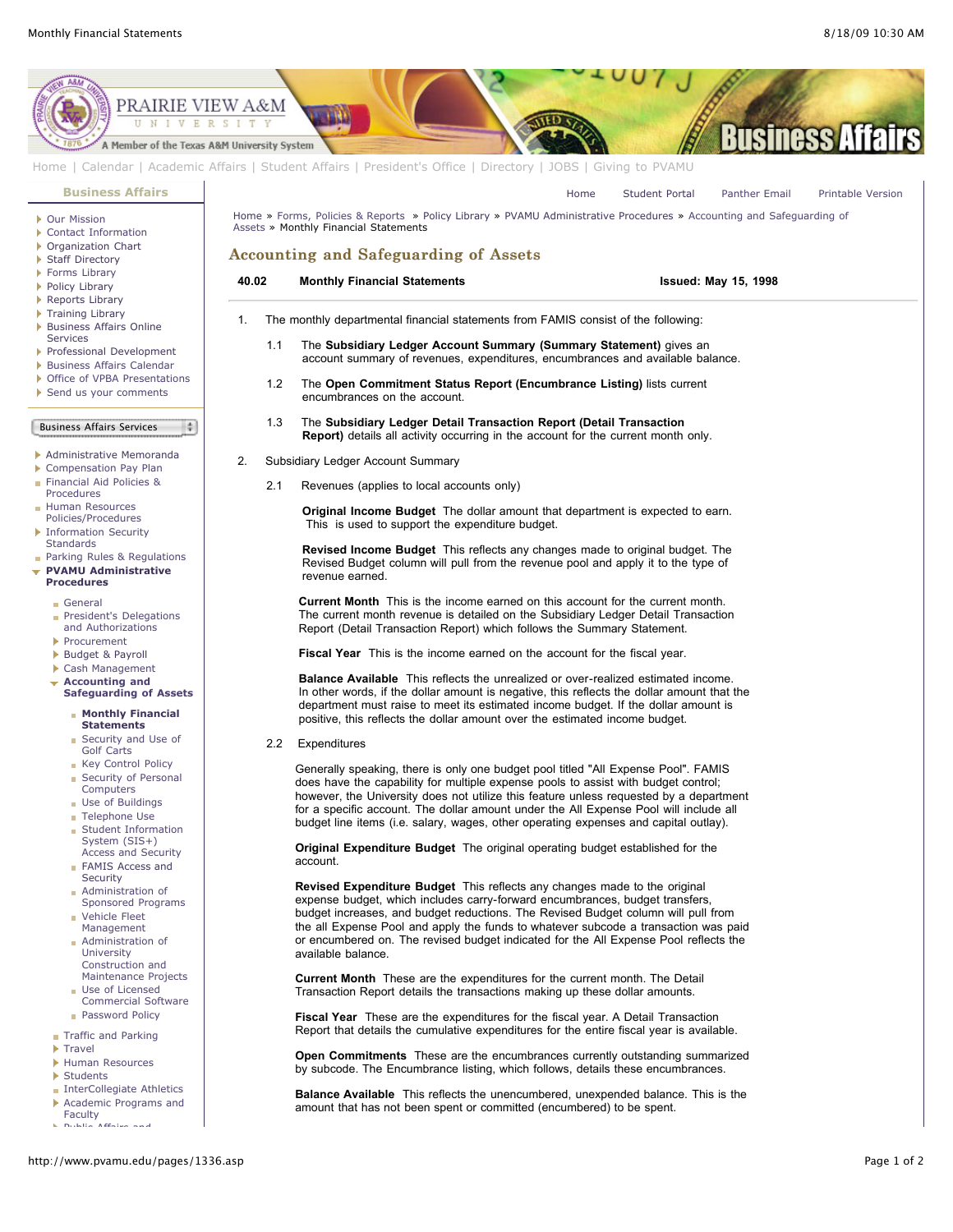